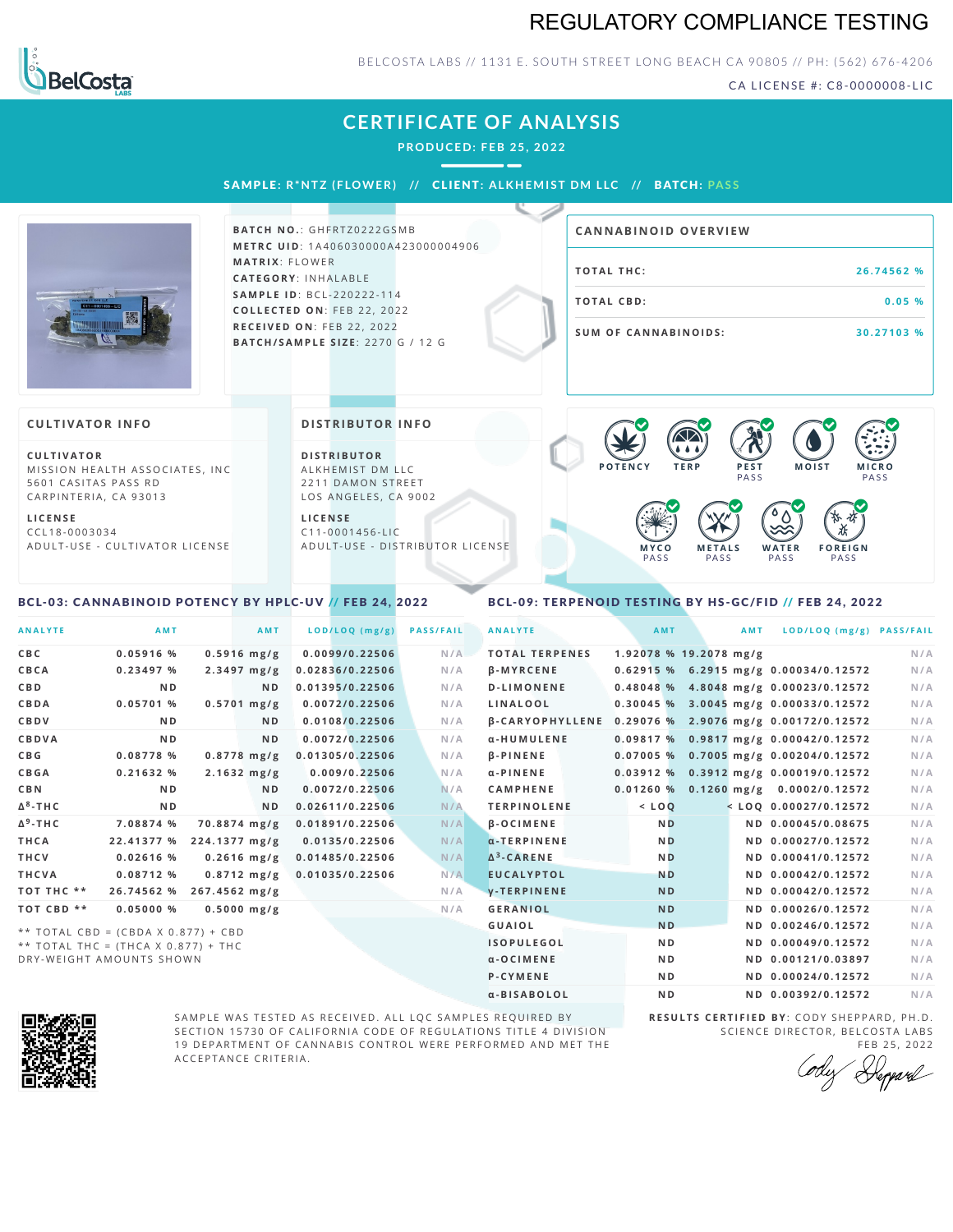## REGULATORY COMPLIANCE TESTING



BELCOSTA LABS // 1131 E. SOUTH STREET LONG BEACH C A 90805 // PH: (562) 676-4206

CA LICENSE #: C8-0000008-LIC

|                                                                                                                                                                                                      | <b>CERTIFICATE OF ANALYSIS</b><br>PRODUCED: FEB 25, 2022<br>SAMPLE: R*NTZ (FLOWER) // CLIENT: ALKHEMIST DM LLC // BATCH: PASS                                                                                                                                                   |                                                                                                                                                                                                         |
|------------------------------------------------------------------------------------------------------------------------------------------------------------------------------------------------------|---------------------------------------------------------------------------------------------------------------------------------------------------------------------------------------------------------------------------------------------------------------------------------|---------------------------------------------------------------------------------------------------------------------------------------------------------------------------------------------------------|
|                                                                                                                                                                                                      | <b>BATCH NO.: GHFRTZ0222GSMB</b><br><b>METRC UID: 1A406030000A423000004906</b><br><b>MATRIX: FLOWER</b><br><b>CATEGORY: INHALABLE</b><br><b>SAMPLE ID: BCL-220222-114</b><br>COLLECTED ON: FEB 22, 2022<br>RECEIVED ON: FEB 22, 2022<br><b>BATCH/SAMPLE SIZE: 2270 G / 12 G</b> | <b>CANNABINOID OVERVIEW</b><br><b>TOTAL THC:</b><br>26.74562 %<br><b>TOTAL CBD:</b><br>0.05%<br><b>SUM OF CANNABINOIDS:</b><br>30.27103 %                                                               |
| <b>CULTIVATOR INFO</b><br><b>CULTIVATOR</b><br>MISSION HEALTH ASSOCIATES, INC.<br>5601 CASITAS PASS RD<br>CARPINTERIA, CA 93013<br><b>LICENSE</b><br>CCL18-0003034<br>ADULT-USE - CULTIVATOR LICENSE | <b>DISTRIBUTOR INFO</b><br><b>DISTRIBUTOR</b><br>ALKHEMIST DM LLC<br>2211 DAMON STREET<br>LOS ANGELES, CA 9002<br><b>LICENSE</b><br>$C11 - 0001456 - LIC$<br>ADULT-USE - DISTRIBUTOR LICENSE                                                                                    | $\bigotimes$<br><b>A</b> .<br><b>POTENCY</b><br><b>TERP</b><br>PEST<br><b>MOIST</b><br><b>MICRO</b><br>PASS<br>PASS<br><b>METALS</b><br>WATER<br><b>FOREIGN</b><br>MYCO<br>PASS<br>PASS<br>PASS<br>PASS |

## <span id="page-0-0"></span>BCL-03: CANNABINOID POTENCY BY HPLC-UV // FEB 24, 2022

## <span id="page-0-1"></span>BCL-09: TERPENOID TESTING BY HS-GC/FID // FEB 24, 2022

| <b>ANALYTE</b>  | <b>AMT</b>                          | AMT            | LOD/LOQ (mg/g)  | <b>PASS/FAIL</b> | <b>ANALYTE</b>                                        | AMT            | <b>AMT</b>             | LOD/LOQ (mg/g) PASS/FAIL              |     |
|-----------------|-------------------------------------|----------------|-----------------|------------------|-------------------------------------------------------|----------------|------------------------|---------------------------------------|-----|
| C B C           | $0.05916$ %                         | $0.5916$ mg/g  | 0.0099/0.22506  | N/A              | <b>TOTAL TERPENES</b>                                 |                | 1.92078 % 19.2078 mg/g |                                       | N/A |
| CBCA            | 0.23497%                            | $2.3497$ mg/g  | 0.02836/0.22506 | N/A              | <b>B-MYRCENE</b>                                      |                |                        | 0.62915 % 6.2915 mg/g 0.00034/0.12572 | N/A |
| CBD             | N <sub>D</sub>                      | N <sub>D</sub> | 0.01395/0.22506 | N/A              | <b>D-LIMONENE</b>                                     |                |                        | 0.48048 % 4.8048 mg/g 0.00023/0.12572 | N/A |
| CBDA            | 0.05701%                            | $0.5701$ mg/g  | 0.0072/0.22506  | N/A              | LINALOOL                                              |                |                        | 0.30045 % 3.0045 mg/g 0.00033/0.12572 | N/A |
| CBDV            | N <sub>D</sub>                      | ND.            | 0.0108/0.22506  | N/A              | β-CARYOPHYLLENE 0.29076 % 2.9076 mg/g 0.00172/0.12572 |                |                        |                                       | N/A |
| <b>CBDVA</b>    | N <sub>D</sub>                      | ND.            | 0.0072/0.22506  | N/A              | α-HUMULENE                                            | 0.09817%       |                        | 0.9817 mg/g 0.00042/0.12572           | N/A |
| C B G           | 0.08778%                            | $0.8778$ mg/g  | 0.01305/0.22506 | N/A              | <b>B-PINENE</b>                                       | 0.07005%       |                        | 0.7005 mg/g 0.00204/0.12572           | N/A |
| CBGA            | 0.21632%                            | $2.1632$ mg/g  | 0.009/0.22506   | N/A              | α-PINENE                                              |                |                        | 0.03912 % 0.3912 mg/g 0.00019/0.12572 | N/A |
| <b>CBN</b>      | N <sub>D</sub>                      | N <sub>D</sub> | 0.0072/0.22506  | N/A              | <b>CAMPHENE</b>                                       | 0.01260%       |                        | 0.1260 mg/g 0.0002/0.12572            | N/A |
| $\Delta^8$ -THC | N <sub>D</sub>                      | ND.            | 0.02611/0.22506 | N/A              | <b>TERPINOLENE</b>                                    | $<$ LOQ        |                        | $<$ LOQ 0.00027/0.12572               | N/A |
| $\Delta^9$ -THC | 7.08874 %                           | 70.8874 mg/g   | 0.01891/0.22506 | N/A              | <b>B-OCIMENE</b>                                      | <b>ND</b>      |                        | ND 0.00045/0.08675                    | N/A |
| THCA            | 22.41377 %                          | 224.1377 mg/g  | 0.0135/0.22506  | N/A              | $\alpha$ -TERPINENE                                   | N <sub>D</sub> |                        | ND 0.00027/0.12572                    | N/A |
| THCV            | $0.02616$ %                         | $0.2616$ mg/g  | 0.01485/0.22506 | N/A              | $\Delta^3$ -CARENE                                    | <b>ND</b>      |                        | ND 0.00041/0.12572                    | N/A |
| THCVA           | 0.08712%                            | $0.8712$ mg/g  | 0.01035/0.22506 | N/A              | <b>EUCALYPTOL</b>                                     | <b>ND</b>      |                        | ND 0.00042/0.12572                    | N/A |
| TOT THC **      | 26.74562 %                          | 267.4562 mg/g  |                 | N/A              | y-TERPINENE                                           | <b>ND</b>      |                        | ND 0.00042/0.12572                    | N/A |
| TOT CBD **      | 0.05000%                            | $0.5000$ mg/g  |                 | N/A              | <b>GERANIOL</b>                                       | <b>ND</b>      |                        | ND 0.00026/0.12572                    | N/A |
|                 | ** TOTAL CBD = (CBDA X 0.877) + CBD |                |                 |                  | <b>GUAIOL</b>                                         | <b>ND</b>      |                        | ND 0.00246/0.12572                    | N/A |
|                 | ** TOTAL THC = (THCA X 0.877) + THC |                |                 |                  | <b>ISOPULEGOL</b>                                     | N <sub>D</sub> |                        | ND 0.00049/0.12572                    | N/A |
|                 | DRY-WEIGHT AMOUNTS SHOWN            |                |                 |                  | $\alpha$ -OCIMENE                                     | N <sub>D</sub> |                        | ND 0.00121/0.03897                    | N/A |





SAMPLE WAS TESTED AS RECEIVED. ALL LQC SAMPLES REQUIRED BY SECTION 15730 OF CALIFORNIA CODE OF REGULATIONS TITLE 4 DIVISION 19 DEPARTMENT OF CANNABIS CONTROL WERE PERFORMED AND MET THE A C C E P T A N C E C R I T E R I A.

**R E S U L T S C E R T I F I E D BY** : C O D Y S H E P P A R D ,P H .D . SCIENCE DIRECTOR, BELCOSTA LABS

**P-CYMENE ND ND ND 0.00024/0.12572** N/A α-BISABOLOL **ND ND 0.00392/0.12572** N/A

FEB 25, 2022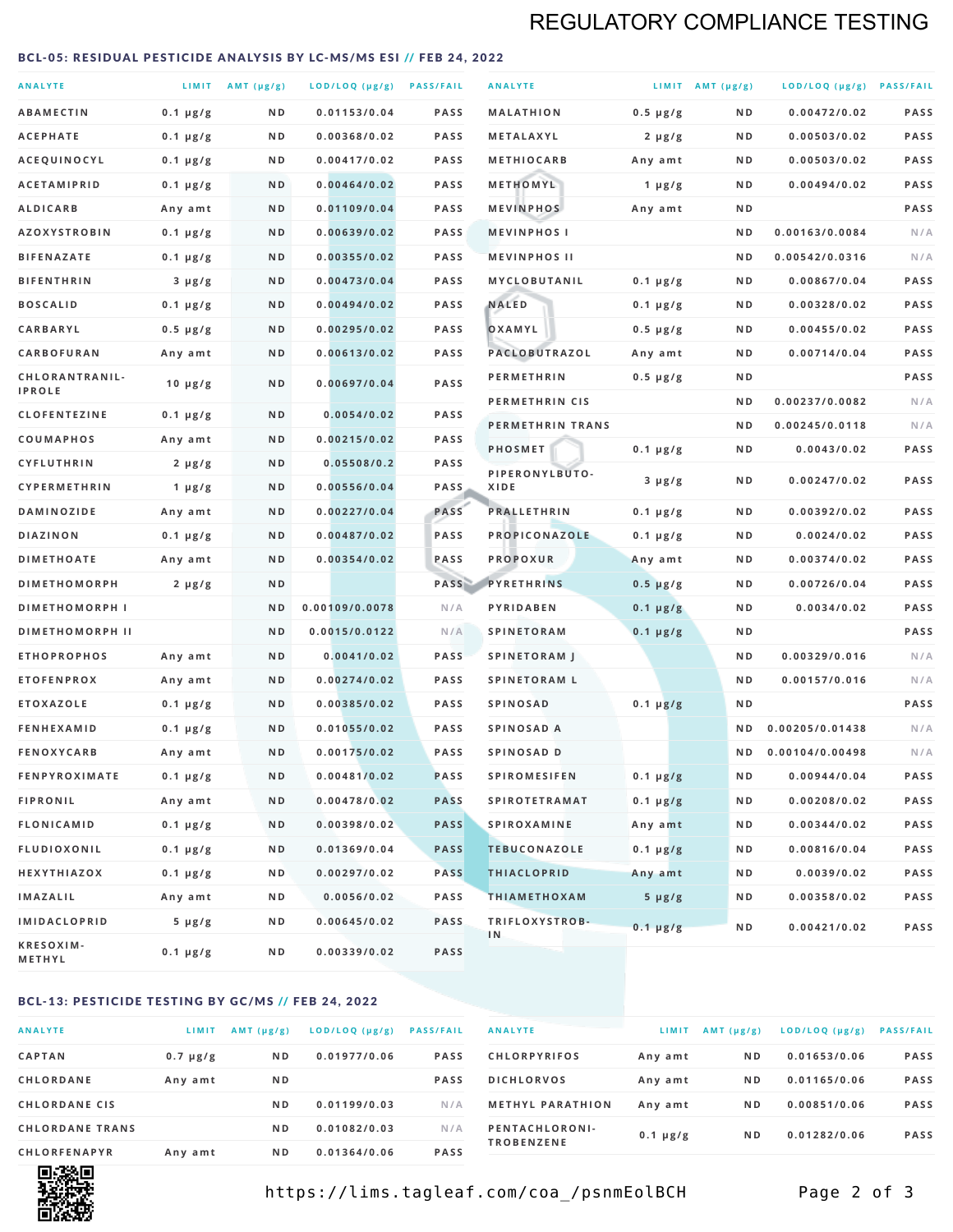# REGULATORY COMPLIANCE TESTING

#### <span id="page-1-0"></span>BCL-05: RESIDUAL PESTICIDE ANALYSIS BY LC-MS/MS ESI // FEB 24, 2022

| <b>ANALYTE</b>                  |                  | LIMIT $AMT (\mu g/g)$ | LOD/LOQ (µg/g) PASS/FAIL |             | <b>ANALYTE</b>         |               | LIMIT AMT $(\mu g/g)$ | LOD/LOQ (µg/g) PASS/FAIL |             |
|---------------------------------|------------------|-----------------------|--------------------------|-------------|------------------------|---------------|-----------------------|--------------------------|-------------|
| <b>ABAMECTIN</b>                | $0.1 \mu g/g$    | N D                   | 0.01153/0.04             | <b>PASS</b> | <b>MALATHION</b>       | $0.5 \mu g/g$ | N D                   | 0.00472/0.02             | <b>PASS</b> |
| <b>ACEPHATE</b>                 | $0.1 \mu g/g$    | N D                   | 0.00368/0.02             | PASS        | <b>METALAXYL</b>       | $2 \mu g/g$   | N D                   | 0.00503/0.02             | PASS        |
| ACEQUINOCYL                     | $0.1 \mu g/g$    | N D                   | 0.00417/0.02             | <b>PASS</b> | <b>METHIOCARB</b>      | Any amt       | N D                   | 0.00503/0.02             | PASS        |
| <b>ACETAMIPRID</b>              | $0.1 \mu g/g$    | N D                   | 0.00464/0.02             | <b>PASS</b> | METHOMYL               | 1 $\mu$ g/g   | N D                   | 0.00494/0.02             | PASS        |
| <b>ALDICARB</b>                 | Any amt          | N D                   | 0.01109/0.04             | <b>PASS</b> | <b>MEVINPHOS</b>       | Any amt       | N D                   |                          | PASS        |
| <b>AZOXYSTROBIN</b>             | $0.1 \mu g/g$    | N D                   | 0.00639/0.02             | PASS        | <b>MEVINPHOSI</b>      |               | N D                   | 0.00163/0.0084           | N/A         |
| <b>BIFENAZATE</b>               | $0.1 \mu g/g$    | N D                   | 0.00355/0.02             | <b>PASS</b> | <b>MEVINPHOS II</b>    |               | N D                   | 0.00542/0.0316           | N/A         |
| <b>BIFENTHRIN</b>               | $3 \mu g/g$      | N D                   | 0.00473/0.04             | <b>PASS</b> | MYCLOBUTANIL           | $0.1 \mu g/g$ | N D                   | 0.00867/0.04             | PASS        |
| <b>BOSCALID</b>                 | $0.1 \mu g/g$    | N D                   | 0.00494/0.02             | <b>PASS</b> | <b>NALED</b>           | $0.1 \mu g/g$ | N D                   | 0.00328/0.02             | PASS        |
| CARBARYL                        | $0.5 \mu g/g$    | N D                   | 0.00295/0.02             | PASS        | OXAMYL                 | $0.5 \mu g/g$ | N D                   | 0.00455/0.02             | PASS        |
| CARBOFURAN                      | Any amt          | N D                   | 0.00613/0.02             | <b>PASS</b> | <b>PACLOBUTRAZOL</b>   | Any amt       | N D                   | 0.00714/0.04             | PASS        |
| CHLORANTRANIL-<br><b>IPROLE</b> | $10 \mu g/g$     | N D                   | 0.00697/0.04             | PASS        | <b>PERMETHRIN</b>      | $0.5 \mu g/g$ | N D                   |                          | PASS        |
| <b>CLOFENTEZINE</b>             | $0.1 \mu g/g$    | N D                   | 0.0054/0.02              | <b>PASS</b> | PERMETHRIN CIS         |               | N D                   | 0.00237/0.0082           | N/A         |
| <b>COUMAPHOS</b>                | Any amt          | N D                   | 0.00215/0.02             | <b>PASS</b> | PERMETHRIN TRANS       |               | N D                   | 0.00245/0.0118           | N/A         |
| <b>CYFLUTHRIN</b>               | $2 \mu g/g$      | N D                   | 0.05508/0.2              | <b>PASS</b> | <b>PHOSMET</b>         | $0.1 \mu g/g$ | N D                   | 0.0043/0.02              | PASS        |
| <b>CYPERMETHRIN</b>             | 1 $\mu$ g/g      | ND                    | 0.00556/0.04             | <b>PASS</b> | PIPERONYLBUTO-<br>XIDE | $3 \mu g/g$   | N D                   | 0.00247/0.02             | PASS        |
| <b>DAMINOZIDE</b>               | Any amt          | N D                   | 0.00227/0.04             | PASS        | <b>PRALLETHRIN</b>     | $0.1 \mu g/g$ | N D                   | 0.00392/0.02             | PASS        |
| DIAZINON                        | $0.1 \mu g/g$    | N D                   | 0.00487/0.02             | PASS        | PROPICONAZOLE          | $0.1 \mu g/g$ | N D                   | 0.0024/0.02              | PASS        |
| <b>DIMETHOATE</b>               | Any amt          | N D                   | 0.00354/0.02             | PASS        | <b>PROPOXUR</b>        | Any amt       | N D                   | 0.00374/0.02             | PASS        |
| <b>DIMETHOMORPH</b>             | $2 \mu g/g$      | N D                   |                          | PASS        | <b>PYRETHRINS</b>      | $0.5 \mu g/g$ | N D                   | 0.00726/0.04             | PASS        |
| <b>DIMETHOMORPH I</b>           |                  | N D                   | 0.00109/0.0078           | N/A         | PYRIDABEN              | $0.1 \mu g/g$ | N D                   | 0.0034/0.02              | PASS        |
| <b>DIMETHOMORPH II</b>          |                  | ND                    | 0.0015/0.0122            | N/A         | <b>SPINETORAM</b>      | $0.1 \mu g/g$ | N D                   |                          | PASS        |
| <b>ETHOPROPHOS</b>              | Any amt          | N D                   | 0.0041/0.02              | <b>PASS</b> | <b>SPINETORAM J</b>    |               | N D                   | 0.00329/0.016            | N/A         |
| <b>ETOFENPROX</b>               | Any amt          | N D                   | 0.00274/0.02             | PASS        | <b>SPINETORAM L</b>    |               | N D                   | 0.00157/0.016            | N/A         |
| <b>ETOXAZOLE</b>                | $0.1 \mu g/g$    | N D                   | 0.00385/0.02             | <b>PASS</b> | <b>SPINOSAD</b>        | $0.1 \mu g/g$ | N D                   |                          | PASS        |
| <b>FENHEXAMID</b>               | $0.1 \mu g/g$    | N D                   | 0.01055/0.02             | <b>PASS</b> | SPINOSAD A             |               | N D                   | 0.00205/0.01438          | N/A         |
| <b>FENOXYCARB</b>               | Any amt          | N D                   | 0.00175/0.02             | <b>PASS</b> | SPINOSAD D             |               | N D                   | 0.00104/0.00498          | N/A         |
| <b>FENPYROXIMATE</b>            | $0.1 \mu g/g$    | N D                   | 0.00481/0.02             | PASS        | <b>SPIROMESIFEN</b>    | $0.1 \mu g/g$ | N D                   | 0.00944/0.04             | PASS        |
| <b>FIPRONIL</b>                 | Any amt          | N D                   | 0.00478/0.02             | <b>PASS</b> | <b>SPIROTETRAMAT</b>   | $0.1 \mu g/g$ | N D                   | 0.00208/0.02             | PASS        |
| FLONICAMID                      | $0.1 \mu g/g$    | N D                   | 0.00398/0.02             | <b>PASS</b> | <b>SPIROXAMINE</b>     | Any amt       | N D                   | 0.00344/0.02             | PASS        |
| <b>FLUDIOXONIL</b>              | $0.1 \mu g/g$    | N D                   | 0.01369/0.04             | <b>PASS</b> | <b>TEBUCONAZOLE</b>    | $0.1 \mu g/g$ | N D                   | 0.00816/0.04             | PASS        |
| HEXYTHIAZOX                     | $0.1 \, \mu g/g$ | N D                   | 0.00297/0.02             | <b>PASS</b> | <b>THIACLOPRID</b>     | Any amt       | N D                   | 0.0039/0.02              | PASS        |
| <b>IMAZALIL</b>                 | Any amt          | N D                   | 0.0056/0.02              | PASS        | <b>THIAMETHOXAM</b>    | $5 \mu g/g$   | N D                   | 0.00358/0.02             | PASS        |
| <b>IMIDACLOPRID</b>             | $5 \mu g/g$      | N D                   | 0.00645/0.02             | <b>PASS</b> | TRIFLOXYSTROB-         | $0.1 \mu g/g$ | N D                   | 0.00421/0.02             | PASS        |
| KRESOXIM-<br><b>METHYL</b>      | $0.1 \mu g/g$    | N D                   | 0.00339/0.02             | <b>PASS</b> | 1N                     |               |                       |                          |             |

### BCL-13: PESTICIDE TESTING BY GC/MS // FEB 24, 2022

| <b>ANALYTE</b>         | LIMIT         | $AMT$ ( $\mu g/g$ ) | LOD/LOQ (µg/g) | <b>PASS/FAIL</b> |
|------------------------|---------------|---------------------|----------------|------------------|
| <b>CAPTAN</b>          | $0.7 \mu g/g$ | N <sub>D</sub>      | 0.01977/0.06   | <b>PASS</b>      |
| CHLORDANE              | Any amt       | N <sub>D</sub>      |                | <b>PASS</b>      |
| <b>CHLORDANE CIS</b>   |               | N <sub>D</sub>      | 0.01199/0.03   | N/A              |
| <b>CHLORDANE TRANS</b> |               | N <sub>D</sub>      | 0.01082/0.03   | N/A              |
| <b>CHLORFENAPYR</b>    | Any amt       | N <sub>D</sub>      | 0.01364/0.06   | <b>PASS</b>      |

| <b>ANALYTE</b>                      | LIMIT         | AMT (µg/g)     | LOD/LOQ (µg/g) | <b>PASS/FAIL</b> |
|-------------------------------------|---------------|----------------|----------------|------------------|
| <b>CHLORPYRIFOS</b>                 | Any amt       | N <sub>D</sub> | 0.01653/0.06   | <b>PASS</b>      |
| <b>DICHLORVOS</b>                   | Any amt       | N <sub>D</sub> | 0.01165/0.06   | <b>PASS</b>      |
| <b>METHYL PARATHION</b>             | Any amt       | N <sub>D</sub> | 0.00851/0.06   | <b>PASS</b>      |
| PENTACHLORONI-<br><b>TROBENZENE</b> | $0.1 \mu g/g$ | N <sub>D</sub> | 0.01282/0.06   | <b>PASS</b>      |